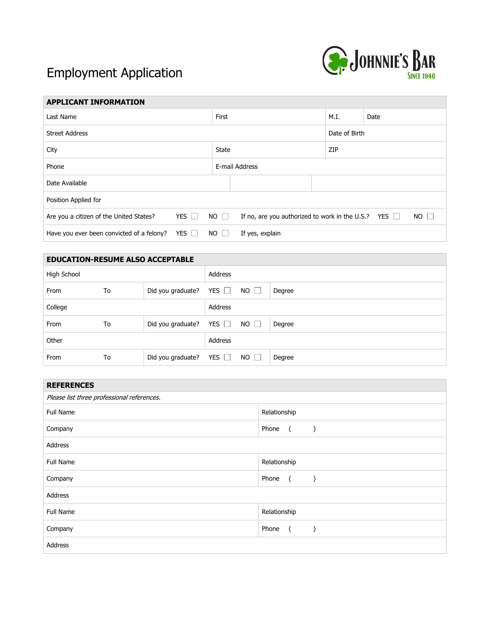## Employment Application



| <b>APPLICANT INFORMATION</b>                            |  |             |                                                           |  |               |      |  |  |
|---------------------------------------------------------|--|-------------|-----------------------------------------------------------|--|---------------|------|--|--|
| Last Name                                               |  |             |                                                           |  | M.I.          | Date |  |  |
| <b>Street Address</b>                                   |  |             |                                                           |  | Date of Birth |      |  |  |
| City                                                    |  |             | State                                                     |  |               | ZIP  |  |  |
| Phone                                                   |  |             | E-mail Address                                            |  |               |      |  |  |
| Date Available                                          |  |             |                                                           |  |               |      |  |  |
| Position Applied for                                    |  |             |                                                           |  |               |      |  |  |
| YES $\Box$<br>Are you a citizen of the United States?   |  | $NO$ $\Box$ | If no, are you authorized to work in the U.S.? YES $\Box$ |  | $NO$ $\Box$   |      |  |  |
| YES $\Box$<br>Have you ever been convicted of a felony? |  | $NO$ $\Box$ | If yes, explain                                           |  |               |      |  |  |

| <b>EDUCATION-RESUME ALSO ACCEPTABLE</b> |    |                   |            |             |        |
|-----------------------------------------|----|-------------------|------------|-------------|--------|
| High School                             |    |                   | Address    |             |        |
| From                                    | To | Did you graduate? | YES $\Box$ | $NO \Box$   | Degree |
| College                                 |    |                   | Address    |             |        |
| From                                    | To | Did you graduate? | YES $\Box$ | $NO$ $\Box$ | Degree |
| Other                                   |    |                   | Address    |             |        |
| From                                    | To | Did you graduate? | YES $\Box$ | $NO$ $\Box$ | Degree |

| <b>REFERENCES</b>                          |                                                                         |  |  |  |
|--------------------------------------------|-------------------------------------------------------------------------|--|--|--|
| Please list three professional references. |                                                                         |  |  |  |
| Full Name                                  | Relationship                                                            |  |  |  |
| Company                                    | Phone<br>$($ )                                                          |  |  |  |
| Address                                    |                                                                         |  |  |  |
| Full Name                                  | Relationship                                                            |  |  |  |
| Company                                    | Phone (<br>$\left( \begin{array}{cc} \end{array} \right)$               |  |  |  |
| Address                                    |                                                                         |  |  |  |
| Full Name                                  | Relationship                                                            |  |  |  |
| Company                                    | Phone (<br>$\left( \begin{array}{cc} \cdot & \cdot \end{array} \right)$ |  |  |  |
| Address                                    |                                                                         |  |  |  |